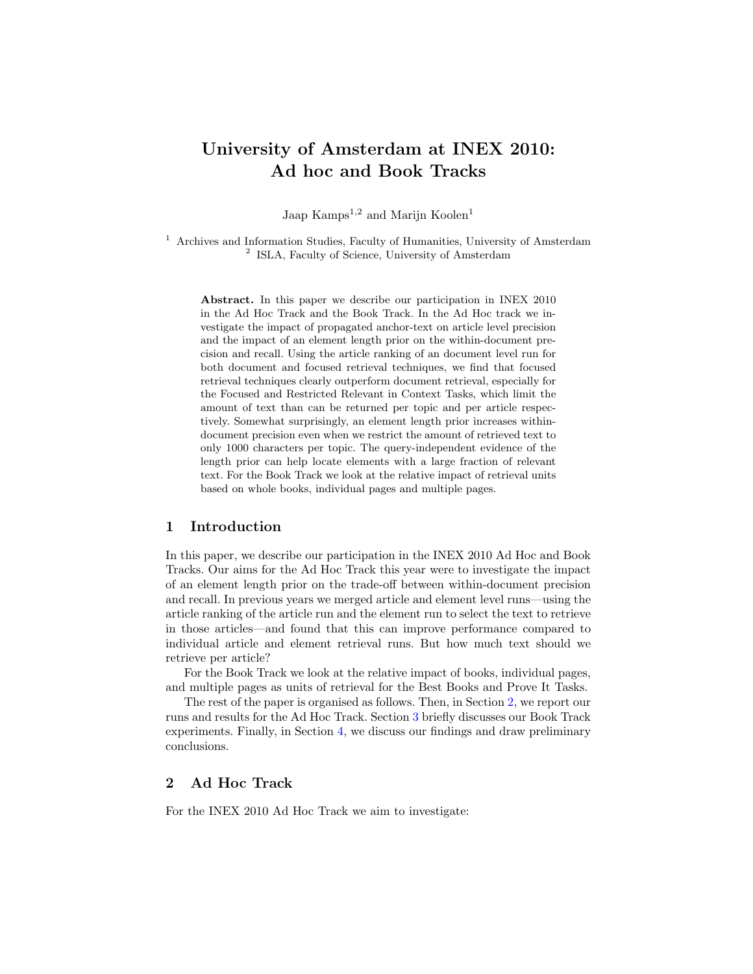# University of Amsterdam at INEX 2010: Ad hoc and Book Tracks

Jaap Kamps<sup>1,2</sup> and Marijn Koolen<sup>1</sup>

<sup>1</sup> Archives and Information Studies, Faculty of Humanities, University of Amsterdam <sup>2</sup> ISLA, Faculty of Science, University of Amsterdam

Abstract. In this paper we describe our participation in INEX 2010 in the Ad Hoc Track and the Book Track. In the Ad Hoc track we investigate the impact of propagated anchor-text on article level precision and the impact of an element length prior on the within-document precision and recall. Using the article ranking of an document level run for both document and focused retrieval techniques, we find that focused retrieval techniques clearly outperform document retrieval, especially for the Focused and Restricted Relevant in Context Tasks, which limit the amount of text than can be returned per topic and per article respectively. Somewhat surprisingly, an element length prior increases withindocument precision even when we restrict the amount of retrieved text to only 1000 characters per topic. The query-independent evidence of the length prior can help locate elements with a large fraction of relevant text. For the Book Track we look at the relative impact of retrieval units based on whole books, individual pages and multiple pages.

# 1 Introduction

In this paper, we describe our participation in the INEX 2010 Ad Hoc and Book Tracks. Our aims for the Ad Hoc Track this year were to investigate the impact of an element length prior on the trade-off between within-document precision and recall. In previous years we merged article and element level runs—using the article ranking of the article run and the element run to select the text to retrieve in those articles—and found that this can improve performance compared to individual article and element retrieval runs. But how much text should we retrieve per article?

For the Book Track we look at the relative impact of books, individual pages, and multiple pages as units of retrieval for the Best Books and Prove It Tasks.

The rest of the paper is organised as follows. Then, in Section [2,](#page-0-0) we report our runs and results for the Ad Hoc Track. Section [3](#page-6-0) briefly discusses our Book Track experiments. Finally, in Section [4,](#page-6-1) we discuss our findings and draw preliminary conclusions.

## <span id="page-0-0"></span>2 Ad Hoc Track

For the INEX 2010 Ad Hoc Track we aim to investigate: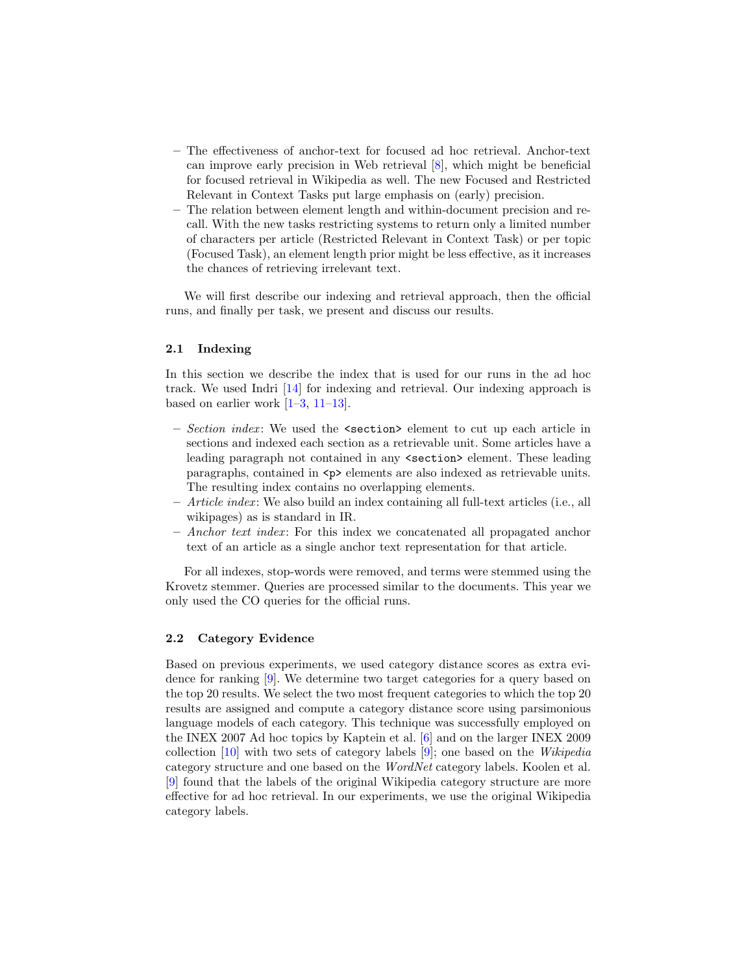- The effectiveness of anchor-text for focused ad hoc retrieval. Anchor-text can improve early precision in Web retrieval [\[8\]](#page-8-0), which might be beneficial for focused retrieval in Wikipedia as well. The new Focused and Restricted Relevant in Context Tasks put large emphasis on (early) precision.
- The relation between element length and within-document precision and recall. With the new tasks restricting systems to return only a limited number of characters per article (Restricted Relevant in Context Task) or per topic (Focused Task), an element length prior might be less effective, as it increases the chances of retrieving irrelevant text.

We will first describe our indexing and retrieval approach, then the official runs, and finally per task, we present and discuss our results.

#### 2.1 Indexing

In this section we describe the index that is used for our runs in the ad hoc track. We used Indri [\[14\]](#page-8-1) for indexing and retrieval. Our indexing approach is based on earlier work  $[1-3, 11-13]$  $[1-3, 11-13]$  $[1-3, 11-13]$  $[1-3, 11-13]$ .

- Section index: We used the  $\leq$  section  $\geq$  element to cut up each article in sections and indexed each section as a retrievable unit. Some articles have a leading paragraph not contained in any <section> element. These leading paragraphs, contained in  $\langle p \rangle$  elements are also indexed as retrievable units. The resulting index contains no overlapping elements.
- Article index : We also build an index containing all full-text articles (i.e., all wikipages) as is standard in IR.
- Anchor text index : For this index we concatenated all propagated anchor text of an article as a single anchor text representation for that article.

For all indexes, stop-words were removed, and terms were stemmed using the Krovetz stemmer. Queries are processed similar to the documents. This year we only used the CO queries for the official runs.

#### 2.2 Category Evidence

Based on previous experiments, we used category distance scores as extra evidence for ranking [\[9\]](#page-8-4). We determine two target categories for a query based on the top 20 results. We select the two most frequent categories to which the top 20 results are assigned and compute a category distance score using parsimonious language models of each category. This technique was successfully employed on the INEX 2007 Ad hoc topics by Kaptein et al. [\[6\]](#page-7-2) and on the larger INEX 2009 collection [\[10\]](#page-8-5) with two sets of category labels [\[9\]](#page-8-4); one based on the Wikipedia category structure and one based on the WordNet category labels. Koolen et al. [\[9\]](#page-8-4) found that the labels of the original Wikipedia category structure are more effective for ad hoc retrieval. In our experiments, we use the original Wikipedia category labels.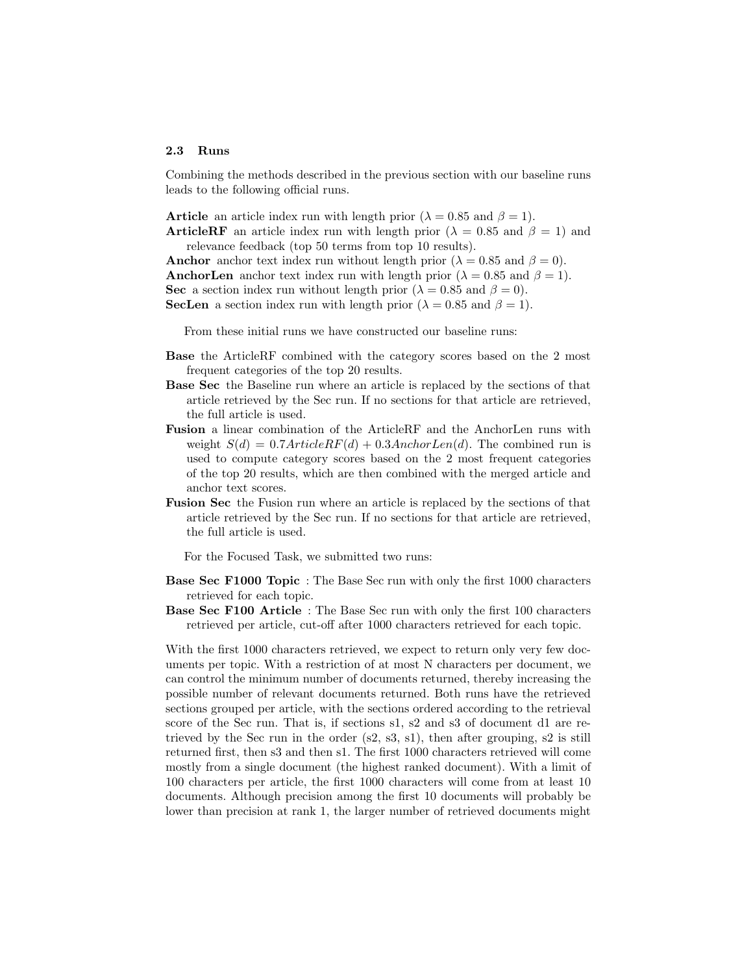#### 2.3 Runs

Combining the methods described in the previous section with our baseline runs leads to the following official runs.

Article an article index run with length prior ( $\lambda = 0.85$  and  $\beta = 1$ ). **ArticleRF** an article index run with length prior ( $\lambda = 0.85$  and  $\beta = 1$ ) and relevance feedback (top 50 terms from top 10 results).

Anchor anchor text index run without length prior ( $\lambda = 0.85$  and  $\beta = 0$ ). **AnchorLen** anchor text index run with length prior ( $\lambda = 0.85$  and  $\beta = 1$ ). Sec a section index run without length prior ( $\lambda = 0.85$  and  $\beta = 0$ ). **SecLen** a section index run with length prior ( $\lambda = 0.85$  and  $\beta = 1$ ).

From these initial runs we have constructed our baseline runs:

- Base the ArticleRF combined with the category scores based on the 2 most frequent categories of the top 20 results.
- Base Sec the Baseline run where an article is replaced by the sections of that article retrieved by the Sec run. If no sections for that article are retrieved, the full article is used.
- Fusion a linear combination of the ArticleRF and the AnchorLen runs with weight  $S(d) = 0.7 \text{Article} RF(d) + 0.3 \text{AnotherLen}(d)$ . The combined run is used to compute category scores based on the 2 most frequent categories of the top 20 results, which are then combined with the merged article and anchor text scores.
- Fusion Sec the Fusion run where an article is replaced by the sections of that article retrieved by the Sec run. If no sections for that article are retrieved, the full article is used.

For the Focused Task, we submitted two runs:

- Base Sec F1000 Topic : The Base Sec run with only the first 1000 characters retrieved for each topic.
- Base Sec F100 Article : The Base Sec run with only the first 100 characters retrieved per article, cut-off after 1000 characters retrieved for each topic.

With the first 1000 characters retrieved, we expect to return only very few documents per topic. With a restriction of at most N characters per document, we can control the minimum number of documents returned, thereby increasing the possible number of relevant documents returned. Both runs have the retrieved sections grouped per article, with the sections ordered according to the retrieval score of the Sec run. That is, if sections s1, s2 and s3 of document d1 are retrieved by the Sec run in the order (s2, s3, s1), then after grouping, s2 is still returned first, then s3 and then s1. The first 1000 characters retrieved will come mostly from a single document (the highest ranked document). With a limit of 100 characters per article, the first 1000 characters will come from at least 10 documents. Although precision among the first 10 documents will probably be lower than precision at rank 1, the larger number of retrieved documents might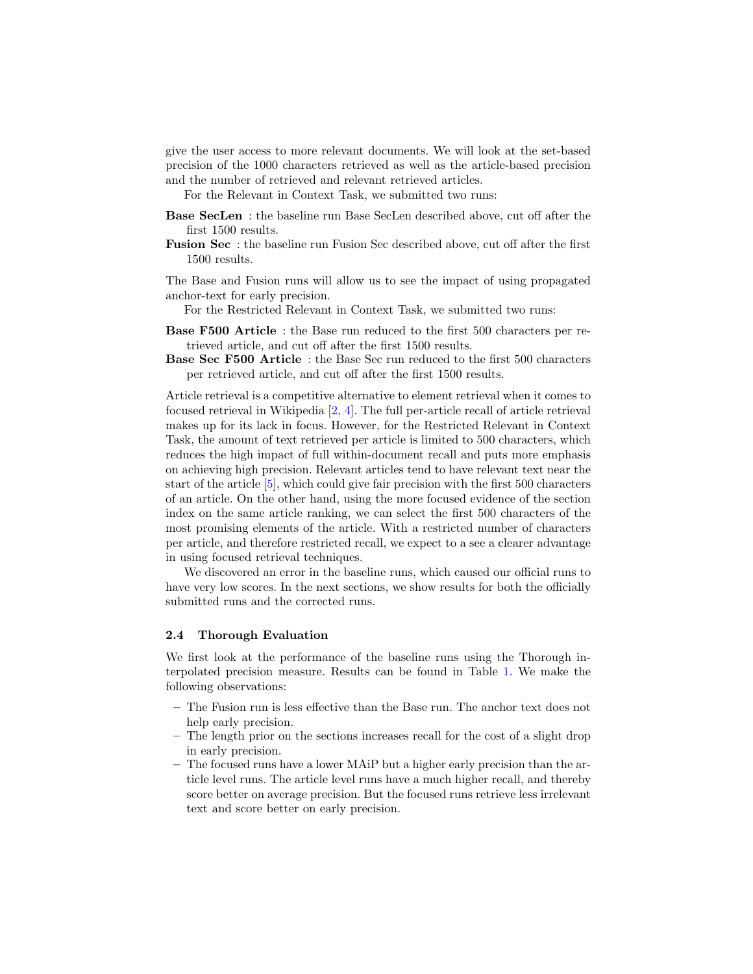give the user access to more relevant documents. We will look at the set-based precision of the 1000 characters retrieved as well as the article-based precision and the number of retrieved and relevant retrieved articles.

For the Relevant in Context Task, we submitted two runs:

- Base SecLen : the baseline run Base SecLen described above, cut off after the first 1500 results.
- Fusion Sec : the baseline run Fusion Sec described above, cut off after the first 1500 results.

The Base and Fusion runs will allow us to see the impact of using propagated anchor-text for early precision.

For the Restricted Relevant in Context Task, we submitted two runs:

- Base F500 Article : the Base run reduced to the first 500 characters per retrieved article, and cut off after the first 1500 results.
- Base Sec F500 Article : the Base Sec run reduced to the first 500 characters per retrieved article, and cut off after the first 1500 results.

Article retrieval is a competitive alternative to element retrieval when it comes to focused retrieval in Wikipedia  $[2, 4]$  $[2, 4]$  $[2, 4]$ . The full per-article recall of article retrieval makes up for its lack in focus. However, for the Restricted Relevant in Context Task, the amount of text retrieved per article is limited to 500 characters, which reduces the high impact of full within-document recall and puts more emphasis on achieving high precision. Relevant articles tend to have relevant text near the start of the article [\[5\]](#page-7-5), which could give fair precision with the first 500 characters of an article. On the other hand, using the more focused evidence of the section index on the same article ranking, we can select the first 500 characters of the most promising elements of the article. With a restricted number of characters per article, and therefore restricted recall, we expect to a see a clearer advantage in using focused retrieval techniques.

We discovered an error in the baseline runs, which caused our official runs to have very low scores. In the next sections, we show results for both the officially submitted runs and the corrected runs.

#### 2.4 Thorough Evaluation

We first look at the performance of the baseline runs using the Thorough interpolated precision measure. Results can be found in Table [1.](#page-4-0) We make the following observations:

- The Fusion run is less effective than the Base run. The anchor text does not help early precision.
- The length prior on the sections increases recall for the cost of a slight drop in early precision.
- The focused runs have a lower MAiP but a higher early precision than the article level runs. The article level runs have a much higher recall, and thereby score better on average precision. But the focused runs retrieve less irrelevant text and score better on early precision.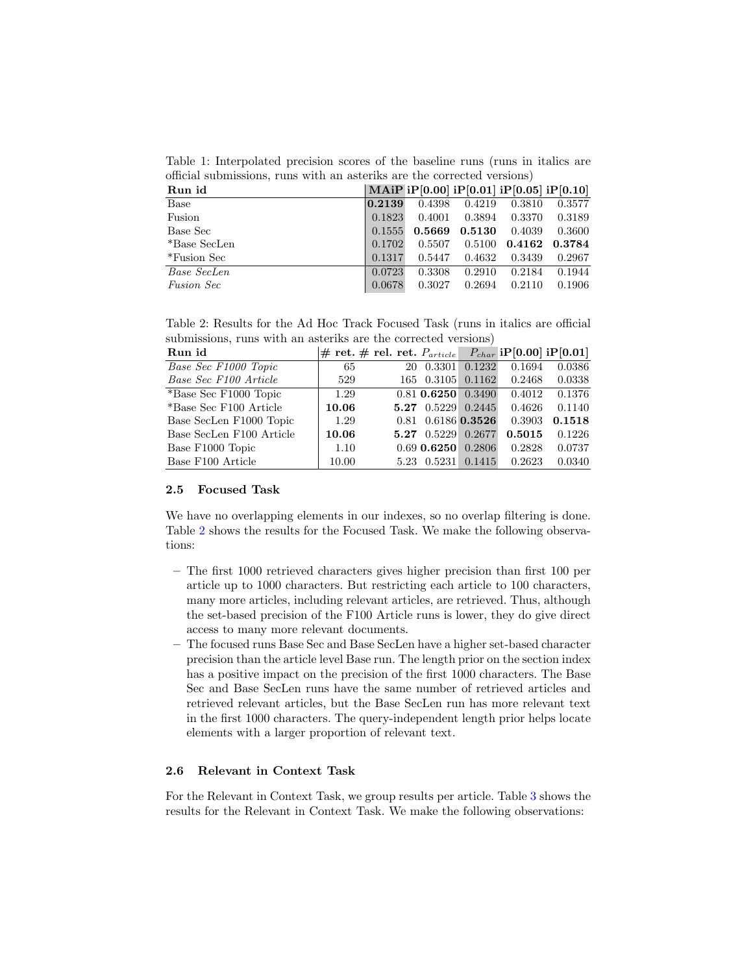<span id="page-4-0"></span>Table 1: Interpolated precision scores of the baseline runs (runs in italics are official submissions, runs with an asteriks are the corrected versions)

| Run id            |        |        | MAiP iP[0.00] iP[0.01] iP[0.05] iP[0.10] |        |        |
|-------------------|--------|--------|------------------------------------------|--------|--------|
| Base              | 0.2139 | 0.4398 | 0.4219                                   | 0.3810 | 0.3577 |
| Fusion            | 0.1823 | 0.4001 | 0.3894                                   | 0.3370 | 0.3189 |
| Base Sec          | 0.1555 |        | 0.5669 0.5130                            | 0.4039 | 0.3600 |
| *Base SecLen      | 0.1702 | 0.5507 | 0.5100                                   | 0.4162 | 0.3784 |
| *Fusion Sec       | 0.1317 | 0.5447 | 0.4632                                   | 0.3439 | 0.2967 |
| Base SecLen       | 0.0723 | 0.3308 | 0.2910                                   | 0.2184 | 0.1944 |
| <i>Fusion Sec</i> | 0.0678 | 0.3027 | 0.2694                                   | 0.2110 | 0.1906 |

<span id="page-4-1"></span>Table 2: Results for the Ad Hoc Track Focused Task (runs in italics are official submissions, runs with an asteriks are the corrected versions)

| Run id                   | # ret. # rel. ret. $P_{article}$ $P_{char}$ iP[0.00] iP[0.01] |  |                        |        |        |
|--------------------------|---------------------------------------------------------------|--|------------------------|--------|--------|
| Base Sec F1000 Topic     | 65                                                            |  | 20 0.3301 0.1232       | 0.1694 | 0.0386 |
| Base Sec F100 Article    | 529                                                           |  | 165 0.3105 0.1162      | 0.2468 | 0.0338 |
| *Base Sec F1000 Topic    | 1.29                                                          |  | $0.81$ 0.6250 $0.3490$ | 0.4012 | 0.1376 |
| *Base Sec F100 Article   | 10.06                                                         |  | 5.27 0.5229 0.2445     | 0.4626 | 0.1140 |
| Base SecLen F1000 Topic  | 1.29                                                          |  | 0.81 0.6186 0.3526     | 0.3903 | 0.1518 |
| Base SecLen F100 Article | 10.06                                                         |  | 5.27 0.5229 0.2677     | 0.5015 | 0.1226 |
| Base F1000 Topic         | 1.10                                                          |  | $0.69$ 0.6250 $0.2806$ | 0.2828 | 0.0737 |
| Base F100 Article        | 10.00                                                         |  | 5.23 0.5231 0.1415     | 0.2623 | 0.0340 |

#### 2.5 Focused Task

We have no overlapping elements in our indexes, so no overlap filtering is done. Table [2](#page-4-1) shows the results for the Focused Task. We make the following observations:

- The first 1000 retrieved characters gives higher precision than first 100 per article up to 1000 characters. But restricting each article to 100 characters, many more articles, including relevant articles, are retrieved. Thus, although the set-based precision of the F100 Article runs is lower, they do give direct access to many more relevant documents.
- The focused runs Base Sec and Base SecLen have a higher set-based character precision than the article level Base run. The length prior on the section index has a positive impact on the precision of the first 1000 characters. The Base Sec and Base SecLen runs have the same number of retrieved articles and retrieved relevant articles, but the Base SecLen run has more relevant text in the first 1000 characters. The query-independent length prior helps locate elements with a larger proportion of relevant text.

## 2.6 Relevant in Context Task

For the Relevant in Context Task, we group results per article. Table [3](#page-5-0) shows the results for the Relevant in Context Task. We make the following observations: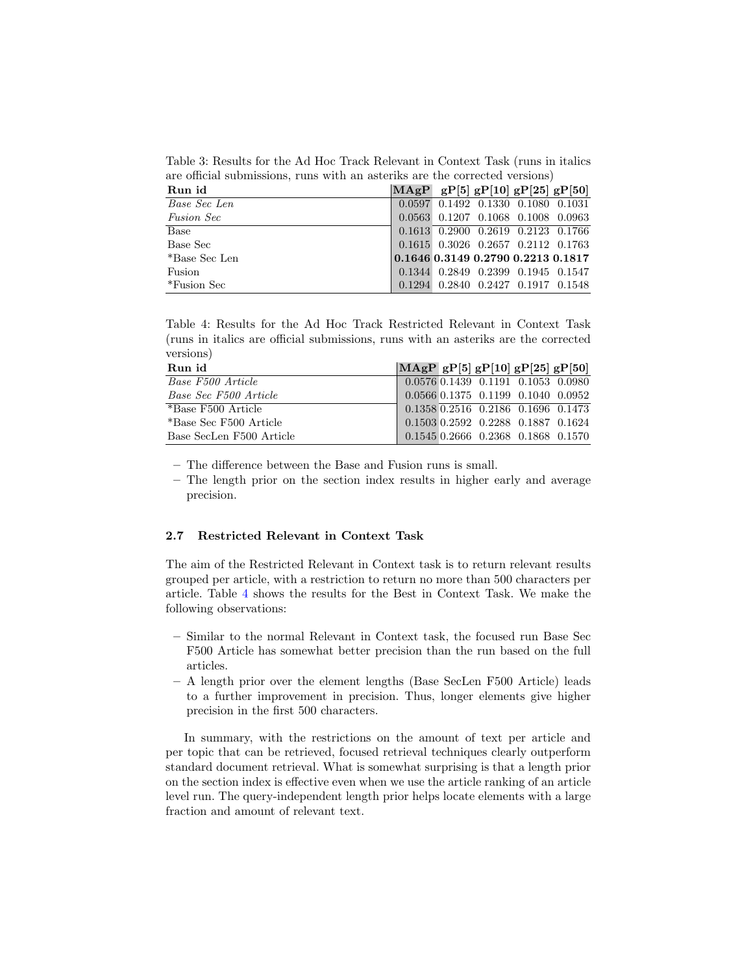<span id="page-5-0"></span>Table 3: Results for the Ad Hoc Track Relevant in Context Task (runs in italics are official submissions, runs with an asteriks are the corrected versions)

| Run id            | $MAgP$ gP[5] gP[10] gP[25] gP[50]  |  |                                              |                                              |
|-------------------|------------------------------------|--|----------------------------------------------|----------------------------------------------|
| Base Sec Len      |                                    |  | $0.0597$ $0.1492$ $0.1330$ $0.1080$ $0.1031$ |                                              |
| <i>Fusion Sec</i> |                                    |  | 0.0563 0.1207 0.1068 0.1008 0.0963           |                                              |
| <b>Base</b>       |                                    |  |                                              | $0.1613$ $0.2900$ $0.2619$ $0.2123$ $0.1766$ |
| Base Sec          |                                    |  | $0.1615$ $0.3026$ $0.2657$ $0.2112$ $0.1763$ |                                              |
| *Base Sec Len     | 0.1646 0.3149 0.2790 0.2213 0.1817 |  |                                              |                                              |
| Fusion            |                                    |  |                                              | $0.1344$ $0.2849$ $0.2399$ $0.1945$ $0.1547$ |
| *Fusion Sec       |                                    |  |                                              | $0.1294$ $0.2840$ $0.2427$ $0.1917$ $0.1548$ |

<span id="page-5-1"></span>Table 4: Results for the Ad Hoc Track Restricted Relevant in Context Task (runs in italics are official submissions, runs with an asteriks are the corrected versions)

| Run id                   | $MAgP$ gP[5] gP[10] gP[25] gP[50] |  |                                    |  |
|--------------------------|-----------------------------------|--|------------------------------------|--|
| Base F500 Article        | 0.05760.14390.11910.10530.0980    |  |                                    |  |
| Base Sec F500 Article    | 0.05660.13750.11990.10400.0952    |  |                                    |  |
| *Base F500 Article       | 0.13580.25160.21860.16960.1473    |  |                                    |  |
| *Base Sec F500 Article   | 0.150300.25920.22880.18870.1624   |  |                                    |  |
| Base SecLen F500 Article |                                   |  | 0.1545 0.2666 0.2368 0.1868 0.1570 |  |

- The difference between the Base and Fusion runs is small.
- The length prior on the section index results in higher early and average precision.

### 2.7 Restricted Relevant in Context Task

The aim of the Restricted Relevant in Context task is to return relevant results grouped per article, with a restriction to return no more than 500 characters per article. Table [4](#page-5-1) shows the results for the Best in Context Task. We make the following observations:

- Similar to the normal Relevant in Context task, the focused run Base Sec F500 Article has somewhat better precision than the run based on the full articles.
- A length prior over the element lengths (Base SecLen F500 Article) leads to a further improvement in precision. Thus, longer elements give higher precision in the first 500 characters.

In summary, with the restrictions on the amount of text per article and per topic that can be retrieved, focused retrieval techniques clearly outperform standard document retrieval. What is somewhat surprising is that a length prior on the section index is effective even when we use the article ranking of an article level run. The query-independent length prior helps locate elements with a large fraction and amount of relevant text.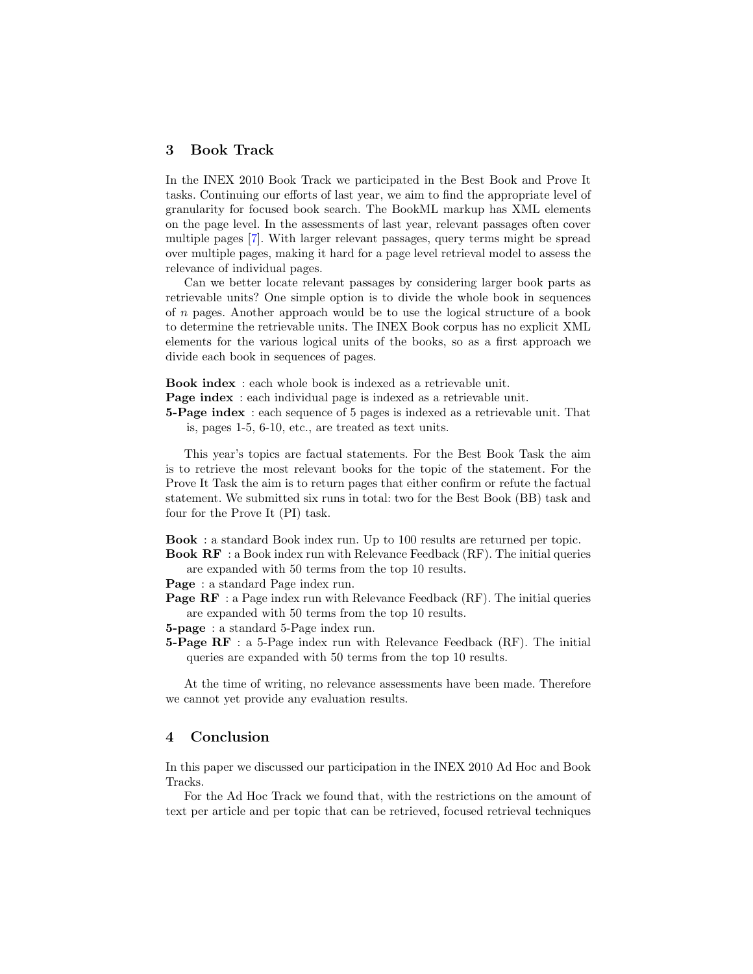# <span id="page-6-0"></span>3 Book Track

In the INEX 2010 Book Track we participated in the Best Book and Prove It tasks. Continuing our efforts of last year, we aim to find the appropriate level of granularity for focused book search. The BookML markup has XML elements on the page level. In the assessments of last year, relevant passages often cover multiple pages [\[7\]](#page-7-6). With larger relevant passages, query terms might be spread over multiple pages, making it hard for a page level retrieval model to assess the relevance of individual pages.

Can we better locate relevant passages by considering larger book parts as retrievable units? One simple option is to divide the whole book in sequences of n pages. Another approach would be to use the logical structure of a book to determine the retrievable units. The INEX Book corpus has no explicit XML elements for the various logical units of the books, so as a first approach we divide each book in sequences of pages.

Book index : each whole book is indexed as a retrievable unit.

Page index : each individual page is indexed as a retrievable unit.

5-Page index : each sequence of 5 pages is indexed as a retrievable unit. That is, pages 1-5, 6-10, etc., are treated as text units.

This year's topics are factual statements. For the Best Book Task the aim is to retrieve the most relevant books for the topic of the statement. For the Prove It Task the aim is to return pages that either confirm or refute the factual statement. We submitted six runs in total: two for the Best Book (BB) task and four for the Prove It (PI) task.

Book : a standard Book index run. Up to 100 results are returned per topic.

Book RF : a Book index run with Relevance Feedback (RF). The initial queries are expanded with 50 terms from the top 10 results.

Page : a standard Page index run.

Page RF : a Page index run with Relevance Feedback (RF). The initial queries are expanded with 50 terms from the top 10 results.

5-page : a standard 5-Page index run.

5-Page RF : a 5-Page index run with Relevance Feedback (RF). The initial queries are expanded with 50 terms from the top 10 results.

At the time of writing, no relevance assessments have been made. Therefore we cannot yet provide any evaluation results.

## <span id="page-6-1"></span>4 Conclusion

In this paper we discussed our participation in the INEX 2010 Ad Hoc and Book Tracks.

For the Ad Hoc Track we found that, with the restrictions on the amount of text per article and per topic that can be retrieved, focused retrieval techniques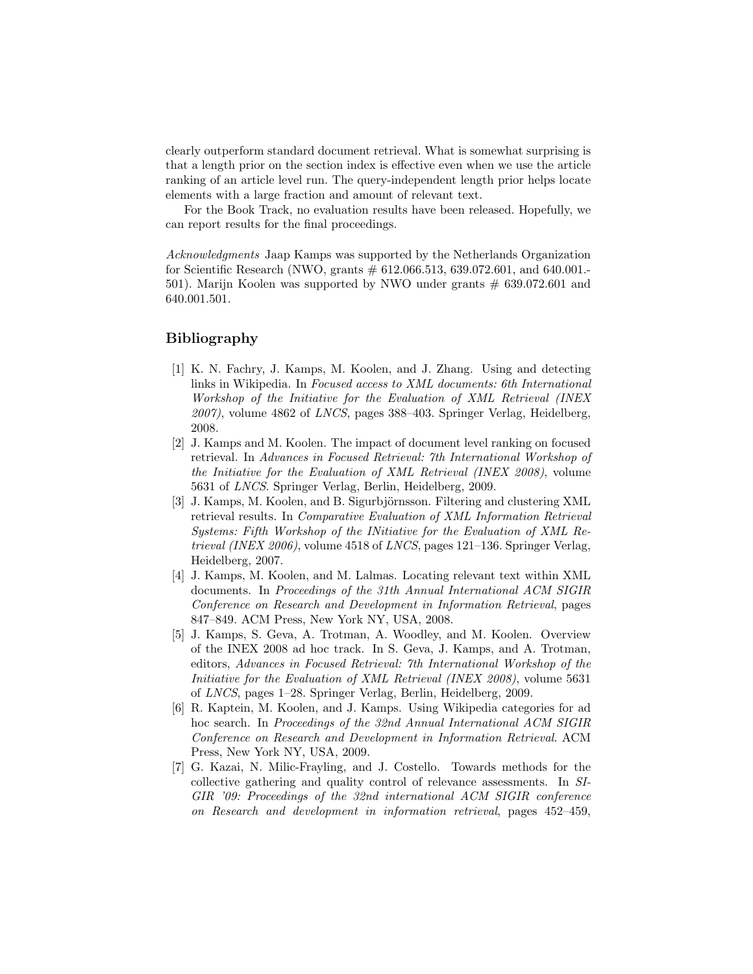clearly outperform standard document retrieval. What is somewhat surprising is that a length prior on the section index is effective even when we use the article ranking of an article level run. The query-independent length prior helps locate elements with a large fraction and amount of relevant text.

For the Book Track, no evaluation results have been released. Hopefully, we can report results for the final proceedings.

Acknowledgments Jaap Kamps was supported by the Netherlands Organization for Scientific Research (NWO, grants  $\#$  612.066.513, 639.072.601, and 640.001. 501). Marijn Koolen was supported by NWO under grants  $\#$  639.072.601 and 640.001.501.

# Bibliography

- <span id="page-7-0"></span>[1] K. N. Fachry, J. Kamps, M. Koolen, and J. Zhang. Using and detecting links in Wikipedia. In Focused access to XML documents: 6th International Workshop of the Initiative for the Evaluation of XML Retrieval (INEX  $2007$ , volume 4862 of *LNCS*, pages 388–403. Springer Verlag, Heidelberg, 2008.
- <span id="page-7-3"></span>[2] J. Kamps and M. Koolen. The impact of document level ranking on focused retrieval. In Advances in Focused Retrieval: 7th International Workshop of the Initiative for the Evaluation of XML Retrieval (INEX 2008), volume 5631 of LNCS. Springer Verlag, Berlin, Heidelberg, 2009.
- <span id="page-7-1"></span>[3] J. Kamps, M. Koolen, and B. Sigurbjörnsson. Filtering and clustering XML retrieval results. In Comparative Evaluation of XML Information Retrieval Systems: Fifth Workshop of the INitiative for the Evaluation of XML Retrieval (INEX 2006), volume 4518 of LNCS, pages 121–136. Springer Verlag, Heidelberg, 2007.
- <span id="page-7-4"></span>[4] J. Kamps, M. Koolen, and M. Lalmas. Locating relevant text within XML documents. In Proceedings of the 31th Annual International ACM SIGIR Conference on Research and Development in Information Retrieval, pages 847–849. ACM Press, New York NY, USA, 2008.
- <span id="page-7-5"></span>[5] J. Kamps, S. Geva, A. Trotman, A. Woodley, and M. Koolen. Overview of the INEX 2008 ad hoc track. In S. Geva, J. Kamps, and A. Trotman, editors, Advances in Focused Retrieval: 7th International Workshop of the Initiative for the Evaluation of XML Retrieval (INEX 2008), volume 5631 of LNCS, pages 1–28. Springer Verlag, Berlin, Heidelberg, 2009.
- <span id="page-7-2"></span>[6] R. Kaptein, M. Koolen, and J. Kamps. Using Wikipedia categories for ad hoc search. In Proceedings of the 32nd Annual International ACM SIGIR Conference on Research and Development in Information Retrieval. ACM Press, New York NY, USA, 2009.
- <span id="page-7-6"></span>[7] G. Kazai, N. Milic-Frayling, and J. Costello. Towards methods for the collective gathering and quality control of relevance assessments. In SI-GIR '09: Proceedings of the 32nd international ACM SIGIR conference on Research and development in information retrieval, pages 452–459,